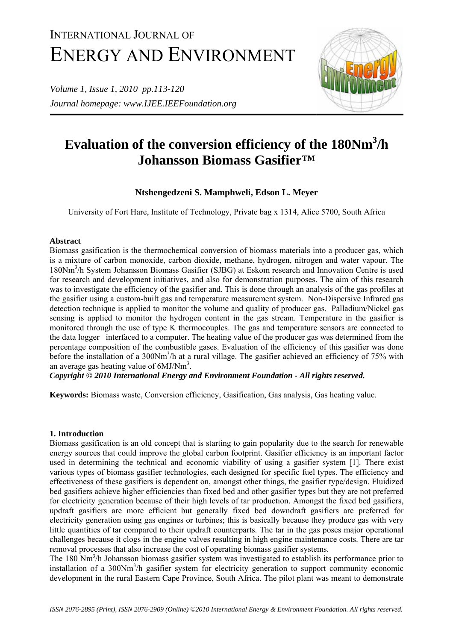# INTERNATIONAL JOURNAL OF ENERGY AND ENVIRONMENT

*Volume 1, Issue 1, 2010 pp.113-120 Journal homepage: www.IJEE.IEEFoundation.org* 



# **Evaluation of the conversion efficiency of the 180Nm3 /h Johansson Biomass Gasifier™**

# **Ntshengedzeni S. Mamphweli, Edson L. Meyer**

University of Fort Hare, Institute of Technology, Private bag x 1314, Alice 5700, South Africa

# **Abstract**

Biomass gasification is the thermochemical conversion of biomass materials into a producer gas, which is a mixture of carbon monoxide, carbon dioxide, methane, hydrogen, nitrogen and water vapour. The 180Nm3 /h System Johansson Biomass Gasifier (SJBG) at Eskom research and Innovation Centre is used for research and development initiatives, and also for demonstration purposes. The aim of this research was to investigate the efficiency of the gasifier and. This is done through an analysis of the gas profiles at the gasifier using a custom-built gas and temperature measurement system. Non-Dispersive Infrared gas detection technique is applied to monitor the volume and quality of producer gas. Palladium/Nickel gas sensing is applied to monitor the hydrogen content in the gas stream. Temperature in the gasifier is monitored through the use of type K thermocouples. The gas and temperature sensors are connected to the data logger interfaced to a computer. The heating value of the producer gas was determined from the percentage composition of the combustible gases. Evaluation of the efficiency of this gasifier was done before the installation of a 300Nm<sup>3</sup>/h at a rural village. The gasifier achieved an efficiency of 75% with an average gas heating value of  $6MJ/Nm<sup>3</sup>$ .

*Copyright © 2010 International Energy and Environment Foundation - All rights reserved.*

**Keywords:** Biomass waste, Conversion efficiency, Gasification, Gas analysis, Gas heating value.

# **1. Introduction**

Biomass gasification is an old concept that is starting to gain popularity due to the search for renewable energy sources that could improve the global carbon footprint. Gasifier efficiency is an important factor used in determining the technical and economic viability of using a gasifier system [1]. There exist various types of biomass gasifier technologies, each designed for specific fuel types. The efficiency and effectiveness of these gasifiers is dependent on, amongst other things, the gasifier type/design. Fluidized bed gasifiers achieve higher efficiencies than fixed bed and other gasifier types but they are not preferred for electricity generation because of their high levels of tar production. Amongst the fixed bed gasifiers, updraft gasifiers are more efficient but generally fixed bed downdraft gasifiers are preferred for electricity generation using gas engines or turbines; this is basically because they produce gas with very little quantities of tar compared to their updraft counterparts. The tar in the gas poses major operational challenges because it clogs in the engine valves resulting in high engine maintenance costs. There are tar removal processes that also increase the cost of operating biomass gasifier systems.

The 180 Nm<sup>3</sup>/h Johansson biomass gasifier system was investigated to establish its performance prior to installation of a 300Nm<sup>3</sup>/h gasifier system for electricity generation to support community economic development in the rural Eastern Cape Province, South Africa. The pilot plant was meant to demonstrate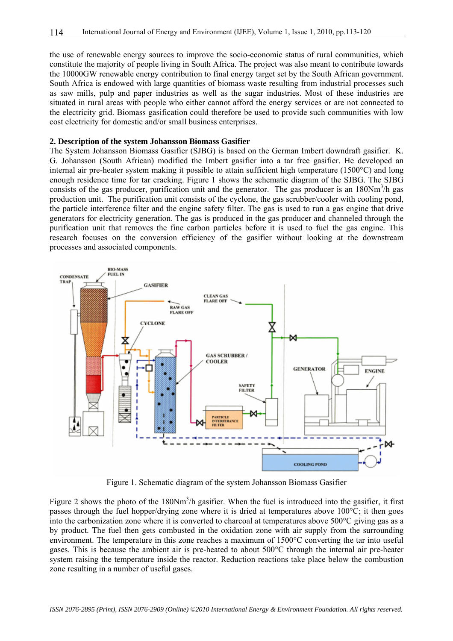the use of renewable energy sources to improve the socio-economic status of rural communities, which constitute the majority of people living in South Africa. The project was also meant to contribute towards the 10000GW renewable energy contribution to final energy target set by the South African government. South Africa is endowed with large quantities of biomass waste resulting from industrial processes such as saw mills, pulp and paper industries as well as the sugar industries. Most of these industries are situated in rural areas with people who either cannot afford the energy services or are not connected to the electricity grid. Biomass gasification could therefore be used to provide such communities with low cost electricity for domestic and/or small business enterprises.

#### **2. Description of the system Johansson Biomass Gasifier**

The System Johansson Biomass Gasifier (SJBG) is based on the German Imbert downdraft gasifier. K. G. Johansson (South African) modified the Imbert gasifier into a tar free gasifier. He developed an internal air pre-heater system making it possible to attain sufficient high temperature (1500°C) and long enough residence time for tar cracking. Figure 1 shows the schematic diagram of the SJBG. The SJBG consists of the gas producer, purification unit and the generator. The gas producer is an 180Nm<sup>3</sup>/h gas production unit. The purification unit consists of the cyclone, the gas scrubber/cooler with cooling pond, the particle interference filter and the engine safety filter. The gas is used to run a gas engine that drive generators for electricity generation. The gas is produced in the gas producer and channeled through the purification unit that removes the fine carbon particles before it is used to fuel the gas engine. This research focuses on the conversion efficiency of the gasifier without looking at the downstream processes and associated components.



Figure 1. Schematic diagram of the system Johansson Biomass Gasifier

Figure 2 shows the photo of the  $180Nm<sup>3</sup>/h$  gasifier. When the fuel is introduced into the gasifier, it first passes through the fuel hopper/drying zone where it is dried at temperatures above 100°C; it then goes into the carbonization zone where it is converted to charcoal at temperatures above 500°C giving gas as a by product. The fuel then gets combusted in the oxidation zone with air supply from the surrounding environment. The temperature in this zone reaches a maximum of 1500°C converting the tar into useful gases. This is because the ambient air is pre-heated to about 500°C through the internal air pre-heater system raising the temperature inside the reactor. Reduction reactions take place below the combustion zone resulting in a number of useful gases.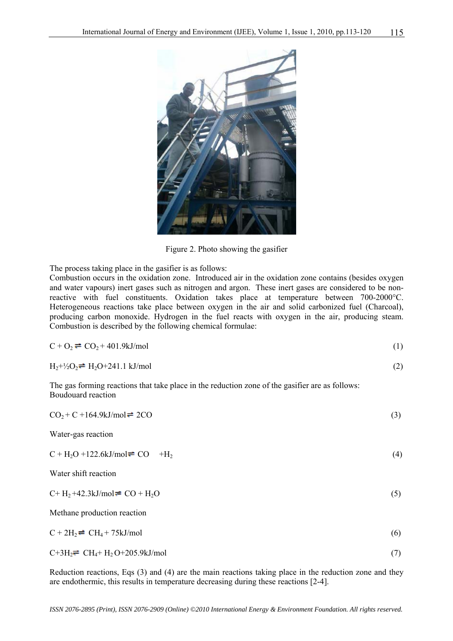

Figure 2. Photo showing the gasifier

The process taking place in the gasifier is as follows:

Combustion occurs in the oxidation zone. Introduced air in the oxidation zone contains (besides oxygen and water vapours) inert gases such as nitrogen and argon. These inert gases are considered to be nonreactive with fuel constituents. Oxidation takes place at temperature between 700-2000°C. Heterogeneous reactions take place between oxygen in the air and solid carbonized fuel (Charcoal), producing carbon monoxide. Hydrogen in the fuel reacts with oxygen in the air, producing steam. Combustion is described by the following chemical formulae:

| $C + O2 = CO2 + 401.9 kJ/mol$                                                               |  |
|---------------------------------------------------------------------------------------------|--|
| $H_2+V_2O_2 = H_2O+241.1$ kJ/mol                                                            |  |
| The gas forming reactions that take place in the reduction zone of the gas free as follows: |  |

Boudouard reaction

| $CO2+C+164.9 kJ/mol = 2CO$                        | (3) |
|---------------------------------------------------|-----|
| Water-gas reaction                                |     |
| $C + H2O + 122.6 kJ/mol = CO + H2$                | (4) |
| Water shift reaction                              |     |
| $C+H_2+42.3kJ/mol = CO + H_2O$                    | (5) |
| Methane production reaction                       |     |
| $C + 2H_2$ $\rightleftharpoons$ $CH_4 + 75kJ/mol$ | (6) |
| $C+3H_2 = CH_4 + H_2O+205.9kJ/mol$                | (7) |

Reduction reactions, Eqs (3) and (4) are the main reactions taking place in the reduction zone and they are endothermic, this results in temperature decreasing during these reactions [2-4].

*ISSN 2076-2895 (Print), ISSN 2076-2909 (Online) ©2010 International Energy & Environment Foundation. All rights reserved.*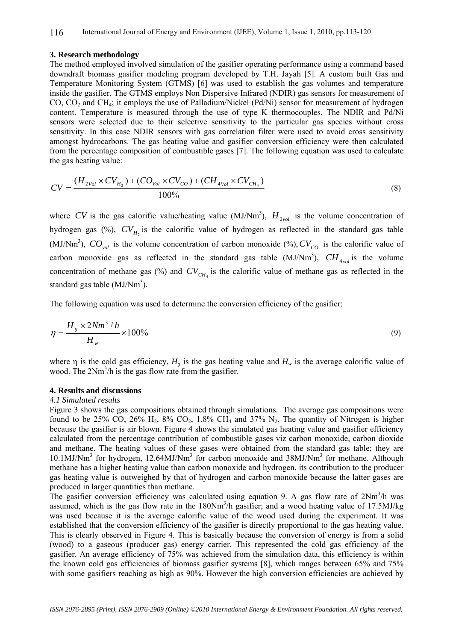#### **3. Research methodology**

The method employed involved simulation of the gasifier operating performance using a command based downdraft biomass gasifier modeling program developed by T.H. Jayah [5]. A custom built Gas and Temperature Monitoring System (GTMS) [6] was used to establish the gas volumes and temperature inside the gasifier. The GTMS employs Non Dispersive Infrared (NDIR) gas sensors for measurement of CO, CO<sub>2</sub> and CH<sub>4</sub>; it employs the use of Palladium/Nickel (Pd/Ni) sensor for measurement of hydrogen content. Temperature is measured through the use of type K thermocouples. The NDIR and Pd/Ni sensors were selected due to their selective sensitivity to the particular gas species without cross sensitivity. In this case NDIR sensors with gas correlation filter were used to avoid cross sensitivity amongst hydrocarbons. The gas heating value and gasifier conversion efficiency were then calculated from the percentage composition of combustible gases [7]. The following equation was used to calculate the gas heating value:

$$
CV = \frac{(H_{2Vol} \times CV_{H_2}) + (CO_{Vol} \times CV_{CO}) + (CH_{4Vol} \times CV_{CH_4})}{100\%}
$$
\n(8)

where CV is the gas calorific value/heating value (MJ/Nm<sup>3</sup>),  $H_{2vol}$  is the volume concentration of hydrogen gas (%),  $CV_{H_2}$  is the calorific value of hydrogen as reflected in the standard gas table (MJ/Nm<sup>3</sup>),  $CO_{vol}$  is the volume concentration of carbon monoxide (%),  $CV_{CO}$  is the calorific value of carbon monoxide gas as reflected in the standard gas table  $(MJ/Nm<sup>3</sup>)$ ,  $CH_{4vol}$  is the volume concentration of methane gas (%) and  $CV_{CH_4}$  is the calorific value of methane gas as reflected in the standard gas table  $(MJ/Nm<sup>3</sup>)$ .

The following equation was used to determine the conversion efficiency of the gasifier:

$$
\eta = \frac{H_s \times 2Nm^3 / h}{H_w} \times 100\%
$$
\n(9)

where  $\eta$  is the cold gas efficiency,  $H_{g}$  is the gas heating value and  $H_{w}$  is the average calorific value of wood. The 2Nm<sup>3</sup>/h is the gas flow rate from the gasifier.

#### **4. Results and discussions**

#### *4.1 Simulated results*

Figure 3 shows the gas compositions obtained through simulations. The average gas compositions were found to be 25% CO, 26%  $H_2$ , 8% CO<sub>2</sub>, 1.8% CH<sub>4</sub> and 37% N<sub>2</sub>. The quantity of Nitrogen is higher because the gasifier is air blown. Figure 4 shows the simulated gas heating value and gasifier efficiency calculated from the percentage contribution of combustible gases viz carbon monoxide, carbon dioxide and methane. The heating values of these gases were obtained from the standard gas table; they are 10.1MJ/Nm<sup>3</sup> for hydrogen, 12.64MJ/Nm<sup>3</sup> for carbon monoxide and 38MJ/Nm<sup>3</sup> for methane. Although methane has a higher heating value than carbon monoxide and hydrogen, its contribution to the producer gas heating value is outweighed by that of hydrogen and carbon monoxide because the latter gases are produced in larger quantities than methane.

The gasifier conversion efficiency was calculated using equation 9. A gas flow rate of  $2Nm<sup>3</sup>/h$  was assumed, which is the gas flow rate in the 180Nm<sup>3</sup>/h gasifier; and a wood heating value of 17.5MJ/kg was used because it is the average calorific value of the wood used during the experiment. It was established that the conversion efficiency of the gasifier is directly proportional to the gas heating value. This is clearly observed in Figure 4. This is basically because the conversion of energy is from a solid (wood) to a gaseous (producer gas) energy carrier. This represented the cold gas efficiency of the gasifier. An average efficiency of 75% was achieved from the simulation data, this efficiency is within the known cold gas efficiencies of biomass gasifier systems [8], which ranges between 65% and 75% with some gasifiers reaching as high as 90%. However the high conversion efficiencies are achieved by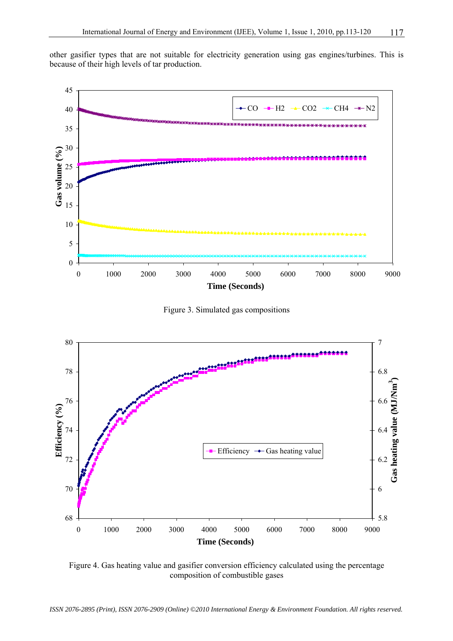other gasifier types that are not suitable for electricity generation using gas engines/turbines. This is because of their high levels of tar production.



Figure 3. Simulated gas compositions



Figure 4. Gas heating value and gasifier conversion efficiency calculated using the percentage composition of combustible gases

*ISSN 2076-2895 (Print), ISSN 2076-2909 (Online) ©2010 International Energy & Environment Foundation. All rights reserved.*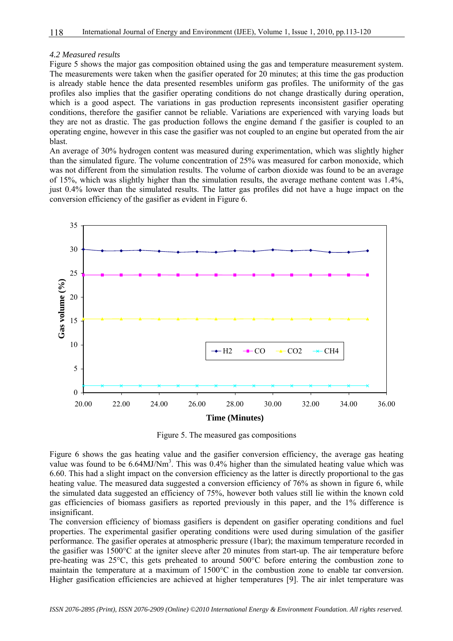#### *4.2 Measured results*

Figure 5 shows the major gas composition obtained using the gas and temperature measurement system. The measurements were taken when the gasifier operated for 20 minutes; at this time the gas production is already stable hence the data presented resembles uniform gas profiles. The uniformity of the gas profiles also implies that the gasifier operating conditions do not change drastically during operation, which is a good aspect. The variations in gas production represents inconsistent gasifier operating conditions, therefore the gasifier cannot be reliable. Variations are experienced with varying loads but they are not as drastic. The gas production follows the engine demand f the gasifier is coupled to an operating engine, however in this case the gasifier was not coupled to an engine but operated from the air blast.

An average of 30% hydrogen content was measured during experimentation, which was slightly higher than the simulated figure. The volume concentration of 25% was measured for carbon monoxide, which was not different from the simulation results. The volume of carbon dioxide was found to be an average of 15%, which was slightly higher than the simulation results, the average methane content was 1.4%, just 0.4% lower than the simulated results. The latter gas profiles did not have a huge impact on the conversion efficiency of the gasifier as evident in Figure 6.



Figure 5. The measured gas compositions

Figure 6 shows the gas heating value and the gasifier conversion efficiency, the average gas heating value was found to be  $6.64$ MJ/Nm<sup>3</sup>. This was  $0.4\%$  higher than the simulated heating value which was 6.60. This had a slight impact on the conversion efficiency as the latter is directly proportional to the gas heating value. The measured data suggested a conversion efficiency of 76% as shown in figure 6, while the simulated data suggested an efficiency of 75%, however both values still lie within the known cold gas efficiencies of biomass gasifiers as reported previously in this paper, and the 1% difference is insignificant.

The conversion efficiency of biomass gasifiers is dependent on gasifier operating conditions and fuel properties. The experimental gasifier operating conditions were used during simulation of the gasifier performance. The gasifier operates at atmospheric pressure (1bar); the maximum temperature recorded in the gasifier was 1500°C at the igniter sleeve after 20 minutes from start-up. The air temperature before pre-heating was 25°C, this gets preheated to around 500°C before entering the combustion zone to maintain the temperature at a maximum of 1500°C in the combustion zone to enable tar conversion. Higher gasification efficiencies are achieved at higher temperatures [9]. The air inlet temperature was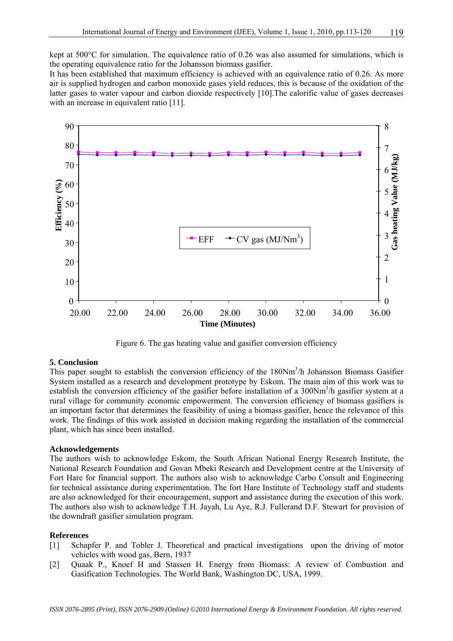kept at 500°C for simulation. The equivalence ratio of 0.26 was also assumed for simulations, which is the operating equivalence ratio for the Johansson biomass gasifier.

It has been established that maximum efficiency is achieved with an equivalence ratio of 0.26. As more air is supplied hydrogen and carbon monoxide gases yield reduces, this is because of the oxidation of the latter gases to water vapour and carbon dioxide respectively [10].The calorific value of gases decreases with an increase in equivalent ratio [11].



Figure 6. The gas heating value and gasifier conversion efficiency

# **5. Conclusion**

This paper sought to establish the conversion efficiency of the  $180Nm<sup>3</sup>/h$  Johansson Biomass Gasifier System installed as a research and development prototype by Eskom. The main aim of this work was to establish the conversion efficiency of the gasifier before installation of a 300Nm<sup>3</sup>/h gasifier system at a rural village for community economic empowerment. The conversion efficiency of biomass gasifiers is an important factor that determines the feasibility of using a biomass gasifier, hence the relevance of this work. The findings of this work assisted in decision making regarding the installation of the commercial plant, which has since been installed.

# **Acknowledgements**

The authors wish to acknowledge Eskom, the South African National Energy Research Institute, the National Research Foundation and Govan Mbeki Research and Development centre at the University of Fort Hare for financial support. The authors also wish to acknowledge Carbo Consult and Engineering for technical assistance during experimentation. The fort Hare Institute of Technology staff and students are also acknowledged for their encouragement, support and assistance during the execution of this work. The authors also wish to acknowledge T.H. Jayah, Lu Aye, R.J. Fullerand D.F. Stewart for provision of the downdraft gasifier simulation program.

#### **References**

- [1] Schapfer P. and Tobler J. Theoretical and practical investigations upon the driving of motor vehicles with wood gas, Bern, 1937
- [2] Quaak P., Knoef H and Stassen H. Energy from Biomass: A review of Combustion and Gasification Technologies. The World Bank, Washington DC, USA, 1999.